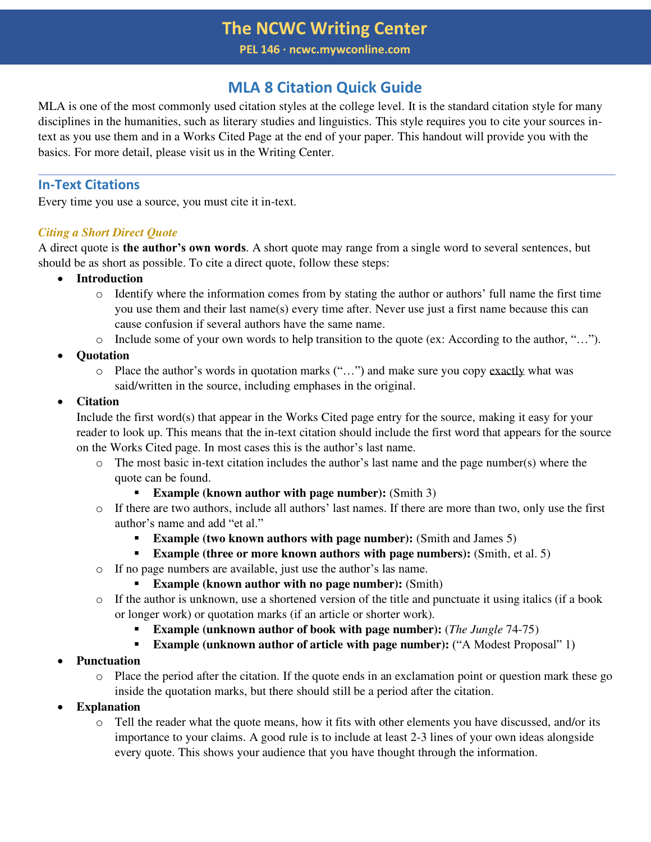**PEL 146 ∙ ncwc.mywconline.com**

## **MLA 8 Citation Quick Guide**

MLA is one of the most commonly used citation styles at the college level. It is the standard citation style for many disciplines in the humanities, such as literary studies and linguistics. This style requires you to cite your sources intext as you use them and in a Works Cited Page at the end of your paper. This handout will provide you with the basics. For more detail, please visit us in the Writing Center.

## **In-Text Citations**

Every time you use a source, you must cite it in-text.

#### *Citing a Short Direct Quote*

A direct quote is **the author's own words**. A short quote may range from a single word to several sentences, but should be as short as possible. To cite a direct quote, follow these steps:

- **Introduction** 
	- $\circ$  Identify where the information comes from by stating the author or authors' full name the first time you use them and their last name(s) every time after. Never use just a first name because this can cause confusion if several authors have the same name.
	- o Include some of your own words to help transition to the quote (ex: According to the author, "…").
- **Quotation** 
	- o Place the author's words in quotation marks ("…") and make sure you copy exactly what was said/written in the source, including emphases in the original.

## • **Citation**

Include the first word(s) that appear in the Works Cited page entry for the source, making it easy for your reader to look up. This means that the in-text citation should include the first word that appears for the source on the Works Cited page. In most cases this is the author's last name.

- $\circ$  The most basic in-text citation includes the author's last name and the page number(s) where the quote can be found.
	- **Example (known author with page number):** (Smith 3)
- o If there are two authors, include all authors' last names. If there are more than two, only use the first author's name and add "et al."
	- **Example (two known authors with page number):** (Smith and James 5)
	- **Example (three or more known authors with page numbers):** (Smith, et al. 5)
- o If no page numbers are available, just use the author's las name.
	- **Example (known author with no page number):** (Smith)
- $\circ$  If the author is unknown, use a shortened version of the title and punctuate it using italics (if a book or longer work) or quotation marks (if an article or shorter work).
	- **Example (unknown author of book with page number):** (*The Jungle* 74-75)
	- **Example (unknown author of article with page number):** ("A Modest Proposal" 1)
- **Punctuation** 
	- o Place the period after the citation. If the quote ends in an exclamation point or question mark these go inside the quotation marks, but there should still be a period after the citation.
- **Explanation** 
	- o Tell the reader what the quote means, how it fits with other elements you have discussed, and/or its importance to your claims. A good rule is to include at least 2-3 lines of your own ideas alongside every quote. This shows your audience that you have thought through the information.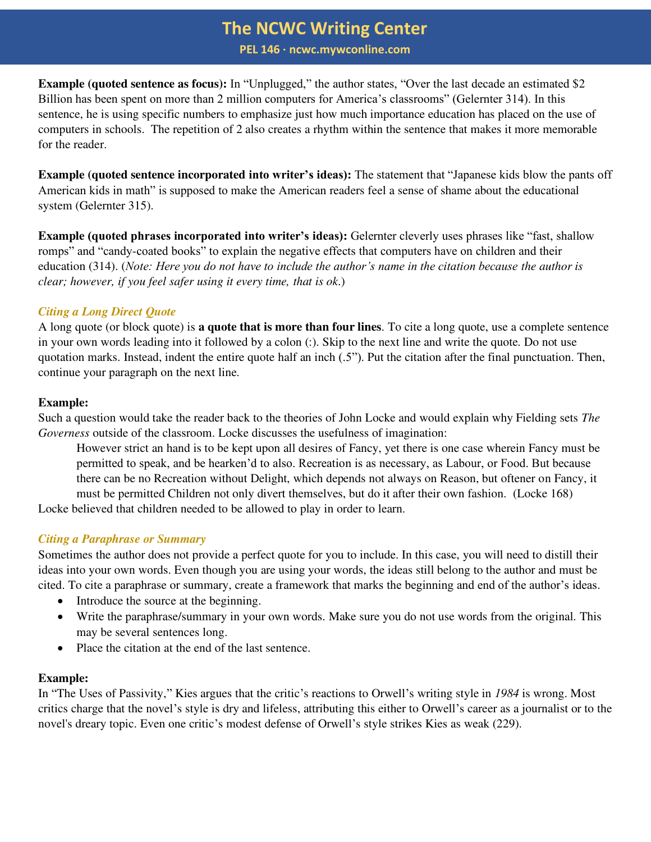**PEL 146 ∙ ncwc.mywconline.com**

**Example (quoted sentence as focus):** In "Unplugged," the author states, "Over the last decade an estimated \$2 Billion has been spent on more than 2 million computers for America's classrooms" (Gelernter 314). In this sentence, he is using specific numbers to emphasize just how much importance education has placed on the use of computers in schools. The repetition of 2 also creates a rhythm within the sentence that makes it more memorable for the reader.

**Example (quoted sentence incorporated into writer's ideas):** The statement that "Japanese kids blow the pants off American kids in math" is supposed to make the American readers feel a sense of shame about the educational system (Gelernter 315).

**Example (quoted phrases incorporated into writer's ideas):** Gelernter cleverly uses phrases like "fast, shallow romps" and "candy-coated books" to explain the negative effects that computers have on children and their education (314). (*Note: Here you do not have to include the author's name in the citation because the author is clear; however, if you feel safer using it every time, that is ok*.)

## *Citing a Long Direct Quote*

A long quote (or block quote) is **a quote that is more than four lines**. To cite a long quote, use a complete sentence in your own words leading into it followed by a colon (:). Skip to the next line and write the quote. Do not use quotation marks. Instead, indent the entire quote half an inch (.5"). Put the citation after the final punctuation. Then, continue your paragraph on the next line.

### **Example:**

Such a question would take the reader back to the theories of John Locke and would explain why Fielding sets *The Governess* outside of the classroom. Locke discusses the usefulness of imagination:

However strict an hand is to be kept upon all desires of Fancy, yet there is one case wherein Fancy must be permitted to speak, and be hearken'd to also. Recreation is as necessary, as Labour, or Food. But because there can be no Recreation without Delight, which depends not always on Reason, but oftener on Fancy, it must be permitted Children not only divert themselves, but do it after their own fashion. (Locke 168)

Locke believed that children needed to be allowed to play in order to learn.

## *Citing a Paraphrase or Summary*

Sometimes the author does not provide a perfect quote for you to include. In this case, you will need to distill their ideas into your own words. Even though you are using your words, the ideas still belong to the author and must be cited. To cite a paraphrase or summary, create a framework that marks the beginning and end of the author's ideas.

- Introduce the source at the beginning.
- Write the paraphrase/summary in your own words. Make sure you do not use words from the original. This may be several sentences long.
- Place the citation at the end of the last sentence.

## **Example:**

In "The Uses of Passivity," Kies argues that the critic's reactions to Orwell's writing style in *1984* is wrong. Most critics charge that the novel's style is dry and lifeless, attributing this either to Orwell's career as a journalist or to the novel's dreary topic. Even one critic's modest defense of Orwell's style strikes Kies as weak (229).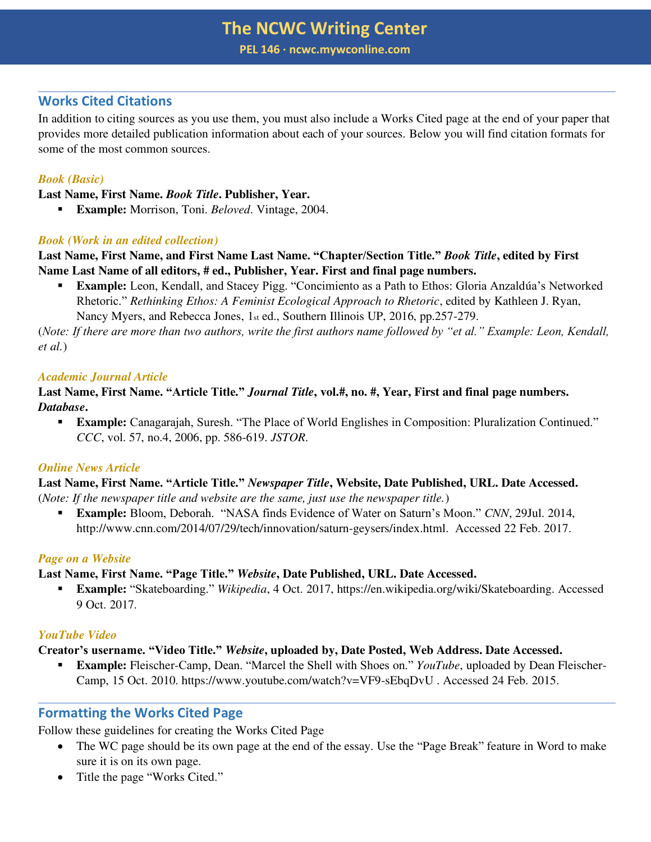**PEL 146 ∙ ncwc.mywconline.com**

### **Works Cited Citations**

In addition to citing sources as you use them, you must also include a Works Cited page at the end of your paper that provides more detailed publication information about each of your sources. Below you will find citation formats for some of the most common sources.

### *Book (Basic)*

**Last Name, First Name.** *Book Title***. Publisher, Year.** 

▪ **Example:** Morrison, Toni. *Beloved*. Vintage, 2004.

#### *Book (Work in an edited collection)*

**Last Name, First Name, and First Name Last Name. "Chapter/Section Title."** *Book Title***, edited by First Name Last Name of all editors, # ed., Publisher, Year. First and final page numbers.** 

▪ **Example:** Leon, Kendall, and Stacey Pigg. "Concimiento as a Path to Ethos: Gloria Anzaldúa's Networked Rhetoric." *Rethinking Ethos: A Feminist Ecological Approach to Rhetoric*, edited by Kathleen J. Ryan, Nancy Myers, and Rebecca Jones, 1st ed., Southern Illinois UP, 2016, pp.257-279.

(*Note: If there are more than two authors, write the first authors name followed by "et al." Example: Leon, Kendall, et al.*)

#### *Academic Journal Article*

**Last Name, First Name. "Article Title."** *Journal Title***, vol.#, no. #, Year, First and final page numbers.**  *Database***.** 

▪ **Example:** Canagarajah, Suresh. "The Place of World Englishes in Composition: Pluralization Continued." *CCC*, vol. 57, no.4, 2006, pp. 586-619. *JSTOR*.

#### *Online News Article*

**Last Name, First Name. "Article Title."** *Newspaper Title***, Website, Date Published, URL. Date Accessed.**  (*Note: If the newspaper title and website are the same, just use the newspaper title.*)

▪ **Example:** Bloom, Deborah. "NASA finds Evidence of Water on Saturn's Moon." *CNN*, 29Jul. 2014, http://www.cnn.com/2014/07/29/tech/innovation/saturn-geysers/index.html. Accessed 22 Feb. 2017.

#### *Page on a Website*

**Last Name, First Name. "Page Title."** *Website***, Date Published, URL. Date Accessed.** 

▪ **Example:** "Skateboarding." *Wikipedia*, 4 Oct. 2017, https://en.wikipedia.org/wiki/Skateboarding. Accessed 9 Oct. 2017.

#### *YouTube Video*

**Creator's username. "Video Title."** *Website***, uploaded by, Date Posted, Web Address. Date Accessed.** 

▪ **Example:** Fleischer-Camp, Dean. "Marcel the Shell with Shoes on." *YouTube*, uploaded by Dean Fleischer-Camp, 15 Oct. 2010. https://www.youtube.com/watch?v=VF9-sEbqDvU . Accessed 24 Feb. 2015.

## **Formatting the Works Cited Page**

Follow these guidelines for creating the Works Cited Page

- The WC page should be its own page at the end of the essay. Use the "Page Break" feature in Word to make sure it is on its own page.
- Title the page "Works Cited."